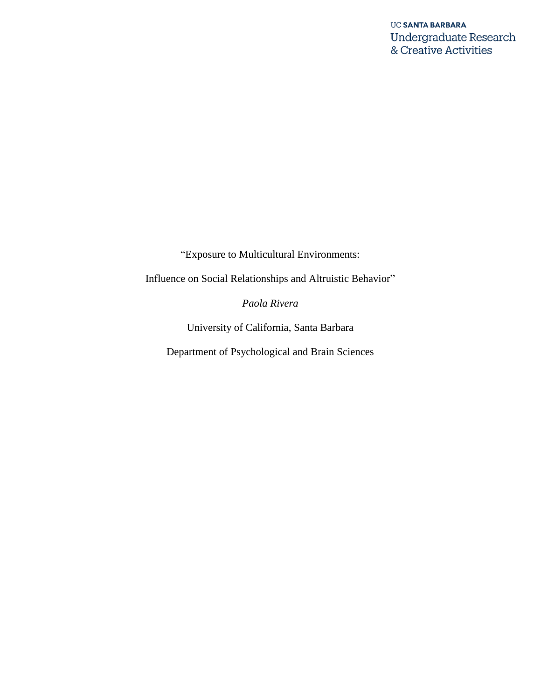"Exposure to Multicultural Environments:

Influence on Social Relationships and Altruistic Behavior"

*Paola Rivera*

University of California, Santa Barbara

Department of Psychological and Brain Sciences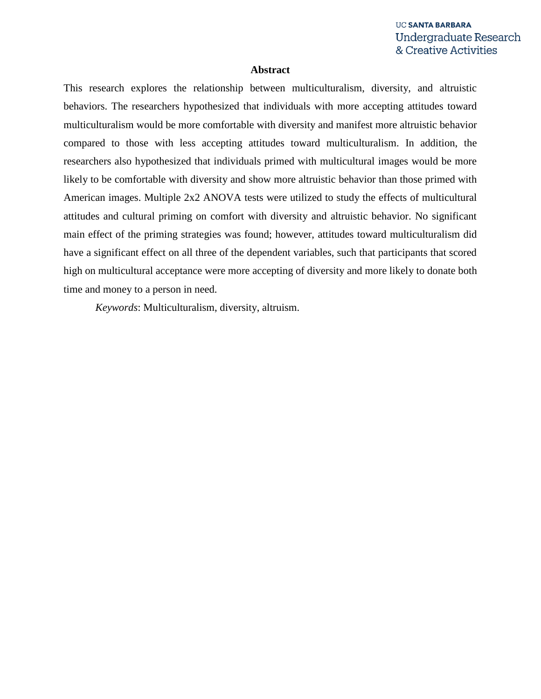#### **Abstract**

This research explores the relationship between multiculturalism, diversity, and altruistic behaviors. The researchers hypothesized that individuals with more accepting attitudes toward multiculturalism would be more comfortable with diversity and manifest more altruistic behavior compared to those with less accepting attitudes toward multiculturalism. In addition, the researchers also hypothesized that individuals primed with multicultural images would be more likely to be comfortable with diversity and show more altruistic behavior than those primed with American images. Multiple 2x2 ANOVA tests were utilized to study the effects of multicultural attitudes and cultural priming on comfort with diversity and altruistic behavior. No significant main effect of the priming strategies was found; however, attitudes toward multiculturalism did have a significant effect on all three of the dependent variables, such that participants that scored high on multicultural acceptance were more accepting of diversity and more likely to donate both time and money to a person in need.

*Keywords*: Multiculturalism, diversity, altruism.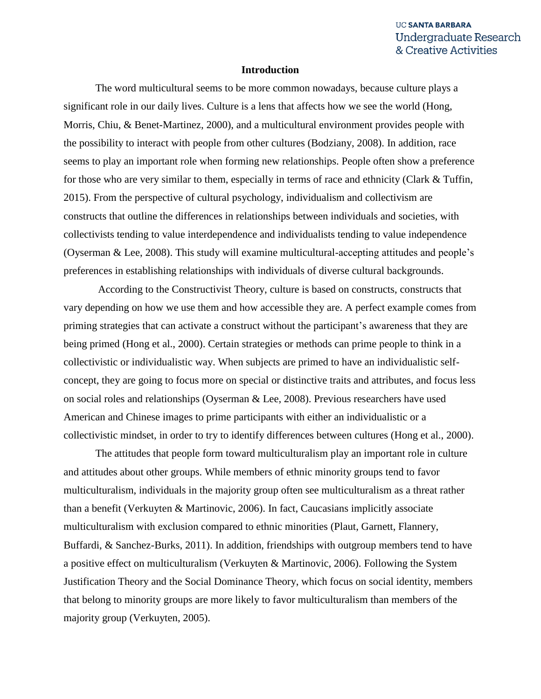#### **Introduction**

The word multicultural seems to be more common nowadays, because culture plays a significant role in our daily lives. Culture is a lens that affects how we see the world (Hong, Morris, Chiu, & Benet-Martinez, 2000), and a multicultural environment provides people with the possibility to interact with people from other cultures (Bodziany, 2008). In addition, race seems to play an important role when forming new relationships. People often show a preference for those who are very similar to them, especially in terms of race and ethnicity (Clark & Tuffin, 2015). From the perspective of cultural psychology, individualism and collectivism are constructs that outline the differences in relationships between individuals and societies, with collectivists tending to value interdependence and individualists tending to value independence (Oyserman & Lee, 2008). This study will examine multicultural-accepting attitudes and people's preferences in establishing relationships with individuals of diverse cultural backgrounds.

According to the Constructivist Theory, culture is based on constructs, constructs that vary depending on how we use them and how accessible they are. A perfect example comes from priming strategies that can activate a construct without the participant's awareness that they are being primed (Hong et al., 2000). Certain strategies or methods can prime people to think in a collectivistic or individualistic way. When subjects are primed to have an individualistic selfconcept, they are going to focus more on special or distinctive traits and attributes, and focus less on social roles and relationships (Oyserman & Lee, 2008). Previous researchers have used American and Chinese images to prime participants with either an individualistic or a collectivistic mindset, in order to try to identify differences between cultures (Hong et al., 2000).

The attitudes that people form toward multiculturalism play an important role in culture and attitudes about other groups. While members of ethnic minority groups tend to favor multiculturalism, individuals in the majority group often see multiculturalism as a threat rather than a benefit (Verkuyten & Martinovic, 2006). In fact, Caucasians implicitly associate multiculturalism with exclusion compared to ethnic minorities (Plaut, Garnett, Flannery, Buffardi, & Sanchez-Burks, 2011). In addition, friendships with outgroup members tend to have a positive effect on multiculturalism (Verkuyten & Martinovic, 2006). Following the System Justification Theory and the Social Dominance Theory, which focus on social identity, members that belong to minority groups are more likely to favor multiculturalism than members of the majority group (Verkuyten, 2005).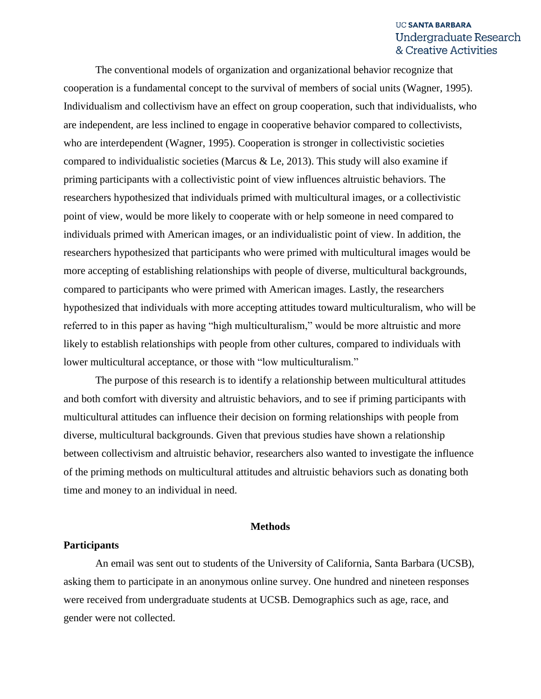The conventional models of organization and organizational behavior recognize that cooperation is a fundamental concept to the survival of members of social units (Wagner, 1995). Individualism and collectivism have an effect on group cooperation, such that individualists, who are independent, are less inclined to engage in cooperative behavior compared to collectivists, who are interdependent (Wagner, 1995). Cooperation is stronger in collectivistic societies compared to individualistic societies (Marcus & Le, 2013). This study will also examine if priming participants with a collectivistic point of view influences altruistic behaviors. The researchers hypothesized that individuals primed with multicultural images, or a collectivistic point of view, would be more likely to cooperate with or help someone in need compared to individuals primed with American images, or an individualistic point of view. In addition, the researchers hypothesized that participants who were primed with multicultural images would be more accepting of establishing relationships with people of diverse, multicultural backgrounds, compared to participants who were primed with American images. Lastly, the researchers hypothesized that individuals with more accepting attitudes toward multiculturalism, who will be referred to in this paper as having "high multiculturalism," would be more altruistic and more likely to establish relationships with people from other cultures, compared to individuals with lower multicultural acceptance, or those with "low multiculturalism."

The purpose of this research is to identify a relationship between multicultural attitudes and both comfort with diversity and altruistic behaviors, and to see if priming participants with multicultural attitudes can influence their decision on forming relationships with people from diverse, multicultural backgrounds. Given that previous studies have shown a relationship between collectivism and altruistic behavior, researchers also wanted to investigate the influence of the priming methods on multicultural attitudes and altruistic behaviors such as donating both time and money to an individual in need.

#### **Methods**

#### **Participants**

An email was sent out to students of the University of California, Santa Barbara (UCSB), asking them to participate in an anonymous online survey. One hundred and nineteen responses were received from undergraduate students at UCSB. Demographics such as age, race, and gender were not collected.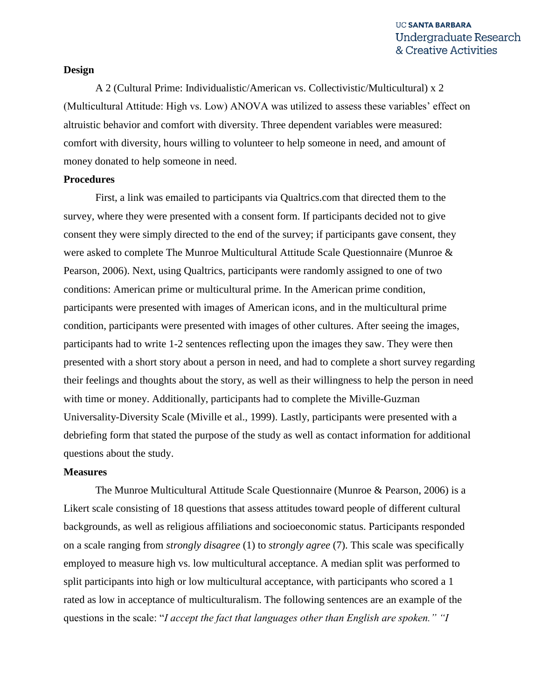#### **Design**

A 2 (Cultural Prime: Individualistic/American vs. Collectivistic/Multicultural) x 2 (Multicultural Attitude: High vs. Low) ANOVA was utilized to assess these variables' effect on altruistic behavior and comfort with diversity. Three dependent variables were measured: comfort with diversity, hours willing to volunteer to help someone in need, and amount of money donated to help someone in need.

#### **Procedures**

First, a link was emailed to participants via Qualtrics.com that directed them to the survey, where they were presented with a consent form. If participants decided not to give consent they were simply directed to the end of the survey; if participants gave consent, they were asked to complete The Munroe Multicultural Attitude Scale Questionnaire (Munroe & Pearson, 2006). Next, using Qualtrics, participants were randomly assigned to one of two conditions: American prime or multicultural prime. In the American prime condition, participants were presented with images of American icons, and in the multicultural prime condition, participants were presented with images of other cultures. After seeing the images, participants had to write 1-2 sentences reflecting upon the images they saw. They were then presented with a short story about a person in need, and had to complete a short survey regarding their feelings and thoughts about the story, as well as their willingness to help the person in need with time or money. Additionally, participants had to complete the Miville-Guzman Universality-Diversity Scale (Miville et al., 1999). Lastly, participants were presented with a debriefing form that stated the purpose of the study as well as contact information for additional questions about the study.

#### **Measures**

The Munroe Multicultural Attitude Scale Questionnaire (Munroe & Pearson, 2006) is a Likert scale consisting of 18 questions that assess attitudes toward people of different cultural backgrounds, as well as religious affiliations and socioeconomic status. Participants responded on a scale ranging from *strongly disagree* (1) to *strongly agree* (7). This scale was specifically employed to measure high vs. low multicultural acceptance. A median split was performed to split participants into high or low multicultural acceptance, with participants who scored a 1 rated as low in acceptance of multiculturalism. The following sentences are an example of the questions in the scale: "*I accept the fact that languages other than English are spoken." "I*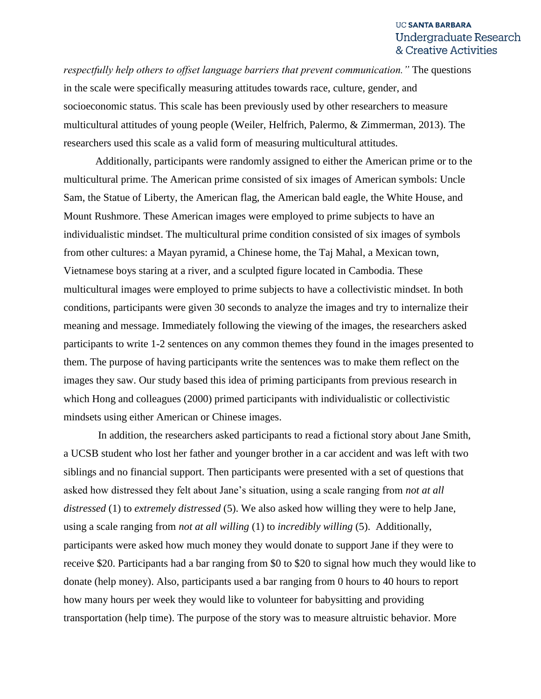*respectfully help others to offset language barriers that prevent communication."* The questions in the scale were specifically measuring attitudes towards race, culture, gender, and socioeconomic status. This scale has been previously used by other researchers to measure multicultural attitudes of young people (Weiler, Helfrich, Palermo, & Zimmerman, 2013). The researchers used this scale as a valid form of measuring multicultural attitudes.

Additionally, participants were randomly assigned to either the American prime or to the multicultural prime. The American prime consisted of six images of American symbols: Uncle Sam, the Statue of Liberty, the American flag, the American bald eagle, the White House, and Mount Rushmore. These American images were employed to prime subjects to have an individualistic mindset. The multicultural prime condition consisted of six images of symbols from other cultures: a Mayan pyramid, a Chinese home, the Taj Mahal, a Mexican town, Vietnamese boys staring at a river, and a sculpted figure located in Cambodia. These multicultural images were employed to prime subjects to have a collectivistic mindset. In both conditions, participants were given 30 seconds to analyze the images and try to internalize their meaning and message. Immediately following the viewing of the images, the researchers asked participants to write 1-2 sentences on any common themes they found in the images presented to them. The purpose of having participants write the sentences was to make them reflect on the images they saw. Our study based this idea of priming participants from previous research in which Hong and colleagues (2000) primed participants with individualistic or collectivistic mindsets using either American or Chinese images.

In addition, the researchers asked participants to read a fictional story about Jane Smith, a UCSB student who lost her father and younger brother in a car accident and was left with two siblings and no financial support. Then participants were presented with a set of questions that asked how distressed they felt about Jane's situation, using a scale ranging from *not at all distressed* (1) to *extremely distressed* (5). We also asked how willing they were to help Jane, using a scale ranging from *not at all willing* (1) to *incredibly willing* (5). Additionally, participants were asked how much money they would donate to support Jane if they were to receive \$20. Participants had a bar ranging from \$0 to \$20 to signal how much they would like to donate (help money). Also, participants used a bar ranging from 0 hours to 40 hours to report how many hours per week they would like to volunteer for babysitting and providing transportation (help time). The purpose of the story was to measure altruistic behavior. More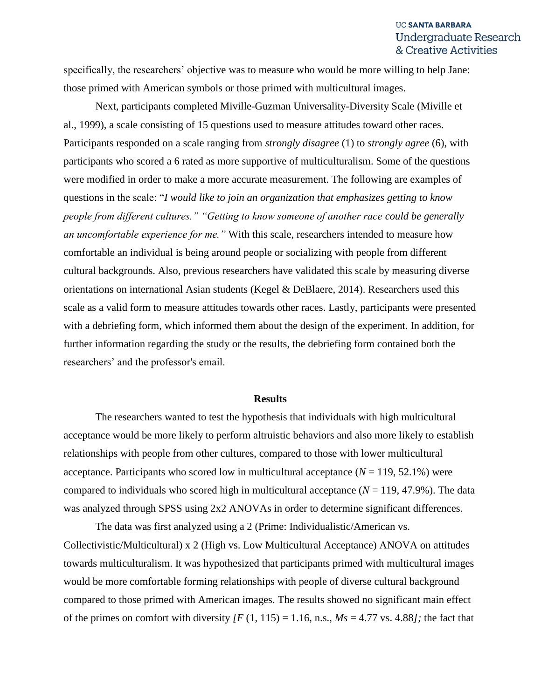specifically, the researchers' objective was to measure who would be more willing to help Jane: those primed with American symbols or those primed with multicultural images.

Next, participants completed Miville-Guzman Universality-Diversity Scale (Miville et al., 1999), a scale consisting of 15 questions used to measure attitudes toward other races. Participants responded on a scale ranging from *strongly disagree* (1) to *strongly agree* (6), with participants who scored a 6 rated as more supportive of multiculturalism. Some of the questions were modified in order to make a more accurate measurement. The following are examples of questions in the scale: "*I would like to join an organization that emphasizes getting to know people from different cultures." "Getting to know someone of another race could be generally an uncomfortable experience for me."* With this scale, researchers intended to measure how comfortable an individual is being around people or socializing with people from different cultural backgrounds. Also, previous researchers have validated this scale by measuring diverse orientations on international Asian students (Kegel & DeBlaere, 2014). Researchers used this scale as a valid form to measure attitudes towards other races. Lastly, participants were presented with a debriefing form, which informed them about the design of the experiment. In addition, for further information regarding the study or the results, the debriefing form contained both the researchers' and the professor's email.

#### **Results**

The researchers wanted to test the hypothesis that individuals with high multicultural acceptance would be more likely to perform altruistic behaviors and also more likely to establish relationships with people from other cultures, compared to those with lower multicultural acceptance. Participants who scored low in multicultural acceptance  $(N = 119, 52.1\%)$  were compared to individuals who scored high in multicultural acceptance  $(N = 119, 47.9\%)$ . The data was analyzed through SPSS using 2x2 ANOVAs in order to determine significant differences.

The data was first analyzed using a 2 (Prime: Individualistic/American vs. Collectivistic/Multicultural) x 2 (High vs. Low Multicultural Acceptance) ANOVA on attitudes towards multiculturalism. It was hypothesized that participants primed with multicultural images would be more comfortable forming relationships with people of diverse cultural background compared to those primed with American images. The results showed no significant main effect of the primes on comfort with diversity  $\overline{F(1, 115)} = 1.16$ , n.s.,  $M_s = 4.77$  vs. 4.88*]*; the fact that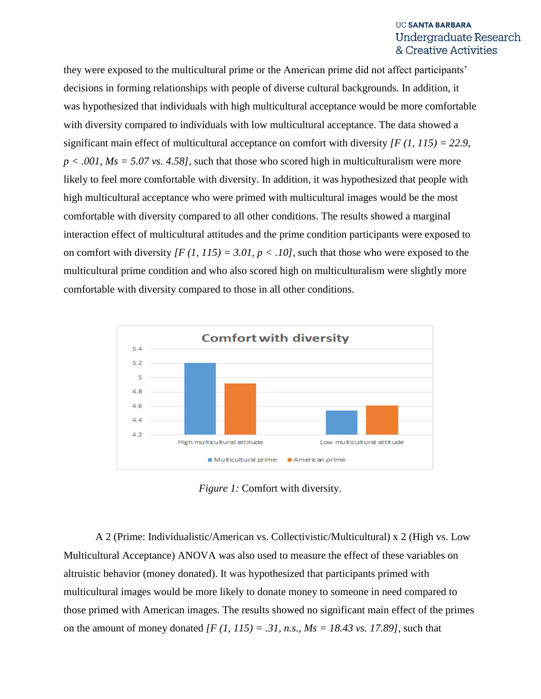they were exposed to the multicultural prime or the American prime did not affect participants' decisions in forming relationships with people of diverse cultural backgrounds. In addition, it was hypothesized that individuals with high multicultural acceptance would be more comfortable with diversity compared to individuals with low multicultural acceptance. The data showed a significant main effect of multicultural acceptance on comfort with diversity *[F (1, 115) = 22.9, p < .001, Ms = 5.07 vs. 4.58],* such that those who scored high in multiculturalism were more likely to feel more comfortable with diversity. In addition, it was hypothesized that people with high multicultural acceptance who were primed with multicultural images would be the most comfortable with diversity compared to all other conditions. The results showed a marginal interaction effect of multicultural attitudes and the prime condition participants were exposed to on comfort with diversity  $\{F (1, 115) = 3.01, p < .10\}$ , such that those who were exposed to the multicultural prime condition and who also scored high on multiculturalism were slightly more comfortable with diversity compared to those in all other conditions.



*Figure 1:* Comfort with diversity.

A 2 (Prime: Individualistic/American vs. Collectivistic/Multicultural) x 2 (High vs. Low Multicultural Acceptance) ANOVA was also used to measure the effect of these variables on altruistic behavior (money donated). It was hypothesized that participants primed with multicultural images would be more likely to donate money to someone in need compared to those primed with American images. The results showed no significant main effect of the primes on the amount of money donated  $\int F(1, 115) = .31$ , n.s.,  $Ms = 18.43$  vs. 17.89], such that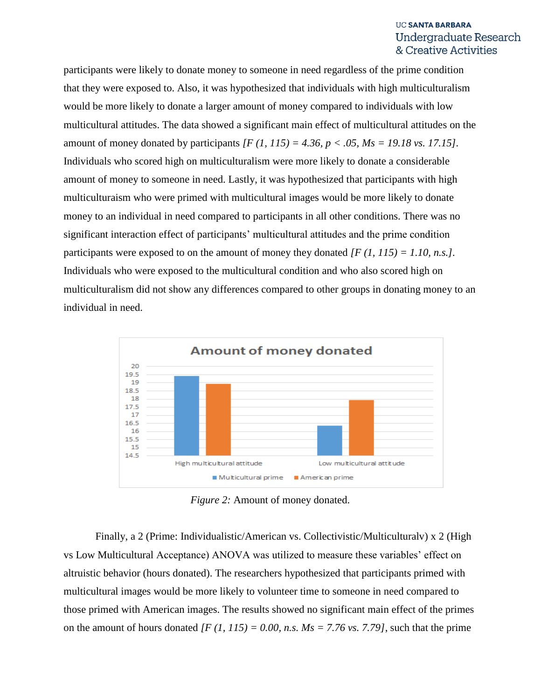participants were likely to donate money to someone in need regardless of the prime condition that they were exposed to. Also, it was hypothesized that individuals with high multiculturalism would be more likely to donate a larger amount of money compared to individuals with low multicultural attitudes. The data showed a significant main effect of multicultural attitudes on the amount of money donated by participants *[F (1, 115) = 4.36, p < .05, Ms = 19.18 vs. 17.15].*  Individuals who scored high on multiculturalism were more likely to donate a considerable amount of money to someone in need. Lastly, it was hypothesized that participants with high multiculturaism who were primed with multicultural images would be more likely to donate money to an individual in need compared to participants in all other conditions. There was no significant interaction effect of participants' multicultural attitudes and the prime condition participants were exposed to on the amount of money they donated *[F (1, 115) = 1.10, n.s.].*  Individuals who were exposed to the multicultural condition and who also scored high on multiculturalism did not show any differences compared to other groups in donating money to an individual in need.



*Figure 2:* Amount of money donated.

Finally, a 2 (Prime: Individualistic/American vs. Collectivistic/Multiculturalv) x 2 (High vs Low Multicultural Acceptance) ANOVA was utilized to measure these variables' effect on altruistic behavior (hours donated). The researchers hypothesized that participants primed with multicultural images would be more likely to volunteer time to someone in need compared to those primed with American images. The results showed no significant main effect of the primes on the amount of hours donated  $\overline{F(1, 115)} = 0.00$ , n.s.  $M_s = 7.76$  vs. 7.79], such that the prime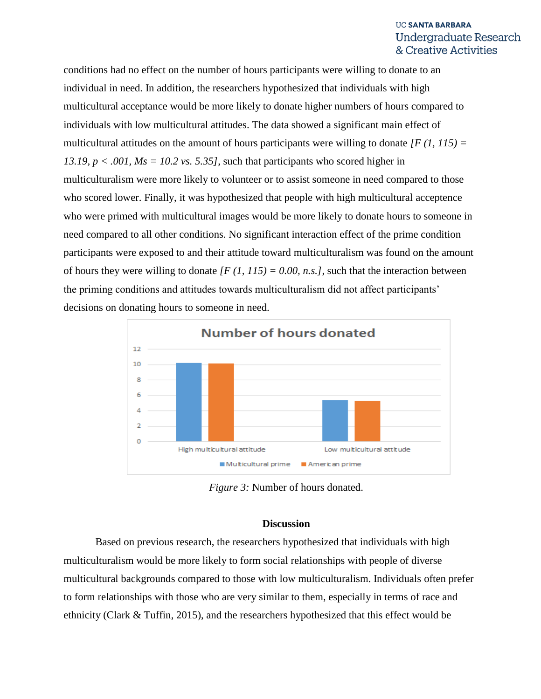conditions had no effect on the number of hours participants were willing to donate to an individual in need. In addition, the researchers hypothesized that individuals with high multicultural acceptance would be more likely to donate higher numbers of hours compared to individuals with low multicultural attitudes. The data showed a significant main effect of multicultural attitudes on the amount of hours participants were willing to donate *[F (1, 115) =*  13.19,  $p < .001$ ,  $Ms = 10.2$  vs. 5.35], such that participants who scored higher in multiculturalism were more likely to volunteer or to assist someone in need compared to those who scored lower. Finally, it was hypothesized that people with high multicultural acceptence who were primed with multicultural images would be more likely to donate hours to someone in need compared to all other conditions. No significant interaction effect of the prime condition participants were exposed to and their attitude toward multiculturalism was found on the amount of hours they were willing to donate  $\{F (1, 115) = 0.00, n.s. \}$ , such that the interaction between the priming conditions and attitudes towards multiculturalism did not affect participants' decisions on donating hours to someone in need.



*Figure 3:* Number of hours donated.

#### **Discussion**

Based on previous research, the researchers hypothesized that individuals with high multiculturalism would be more likely to form social relationships with people of diverse multicultural backgrounds compared to those with low multiculturalism. Individuals often prefer to form relationships with those who are very similar to them, especially in terms of race and ethnicity (Clark & Tuffin, 2015), and the researchers hypothesized that this effect would be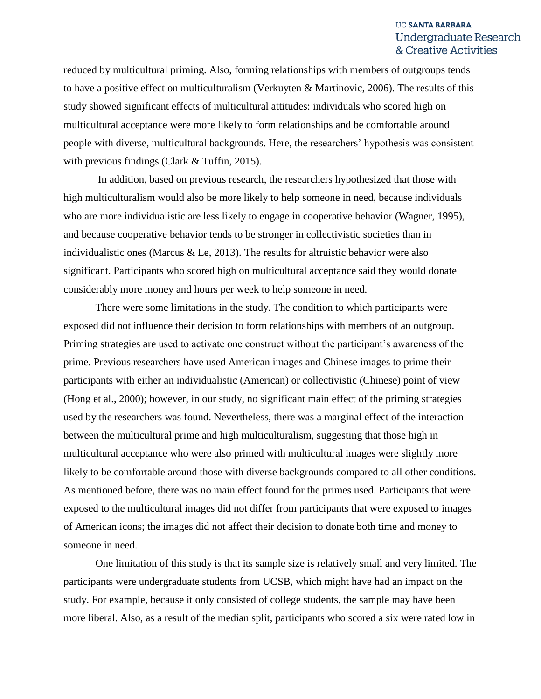reduced by multicultural priming. Also, forming relationships with members of outgroups tends to have a positive effect on multiculturalism (Verkuyten & Martinovic, 2006). The results of this study showed significant effects of multicultural attitudes: individuals who scored high on multicultural acceptance were more likely to form relationships and be comfortable around people with diverse, multicultural backgrounds. Here, the researchers' hypothesis was consistent with previous findings (Clark & Tuffin, 2015).

In addition, based on previous research, the researchers hypothesized that those with high multiculturalism would also be more likely to help someone in need, because individuals who are more individualistic are less likely to engage in cooperative behavior (Wagner, 1995), and because cooperative behavior tends to be stronger in collectivistic societies than in individualistic ones (Marcus  $\&$  Le, 2013). The results for altruistic behavior were also significant. Participants who scored high on multicultural acceptance said they would donate considerably more money and hours per week to help someone in need.

There were some limitations in the study. The condition to which participants were exposed did not influence their decision to form relationships with members of an outgroup. Priming strategies are used to activate one construct without the participant's awareness of the prime. Previous researchers have used American images and Chinese images to prime their participants with either an individualistic (American) or collectivistic (Chinese) point of view (Hong et al., 2000); however, in our study, no significant main effect of the priming strategies used by the researchers was found. Nevertheless, there was a marginal effect of the interaction between the multicultural prime and high multiculturalism, suggesting that those high in multicultural acceptance who were also primed with multicultural images were slightly more likely to be comfortable around those with diverse backgrounds compared to all other conditions. As mentioned before, there was no main effect found for the primes used. Participants that were exposed to the multicultural images did not differ from participants that were exposed to images of American icons; the images did not affect their decision to donate both time and money to someone in need.

One limitation of this study is that its sample size is relatively small and very limited. The participants were undergraduate students from UCSB, which might have had an impact on the study. For example, because it only consisted of college students, the sample may have been more liberal. Also, as a result of the median split, participants who scored a six were rated low in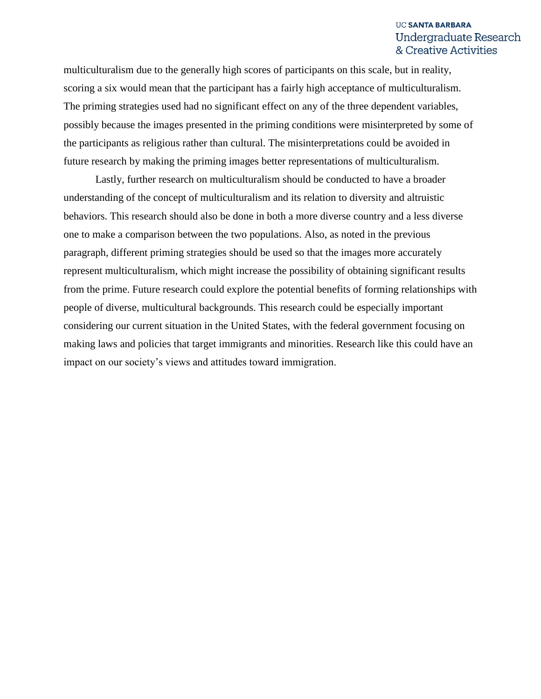multiculturalism due to the generally high scores of participants on this scale, but in reality, scoring a six would mean that the participant has a fairly high acceptance of multiculturalism. The priming strategies used had no significant effect on any of the three dependent variables, possibly because the images presented in the priming conditions were misinterpreted by some of the participants as religious rather than cultural. The misinterpretations could be avoided in future research by making the priming images better representations of multiculturalism.

Lastly, further research on multiculturalism should be conducted to have a broader understanding of the concept of multiculturalism and its relation to diversity and altruistic behaviors. This research should also be done in both a more diverse country and a less diverse one to make a comparison between the two populations. Also, as noted in the previous paragraph, different priming strategies should be used so that the images more accurately represent multiculturalism, which might increase the possibility of obtaining significant results from the prime. Future research could explore the potential benefits of forming relationships with people of diverse, multicultural backgrounds. This research could be especially important considering our current situation in the United States, with the federal government focusing on making laws and policies that target immigrants and minorities. Research like this could have an impact on our society's views and attitudes toward immigration.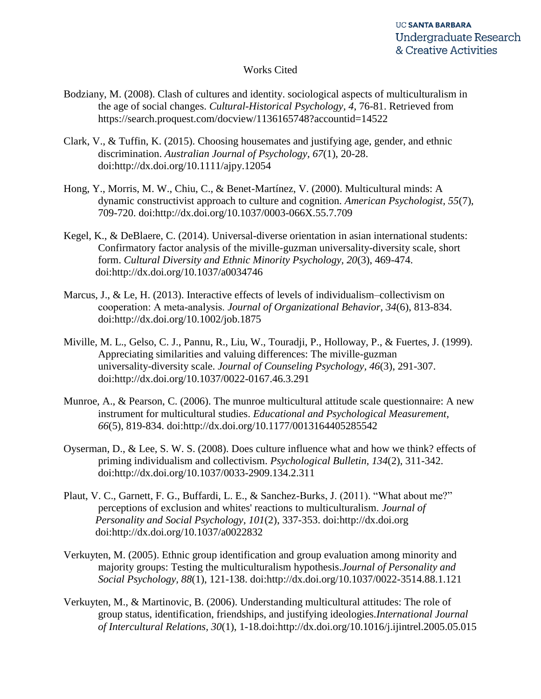#### Works Cited

- Bodziany, M. (2008). Clash of cultures and identity. sociological aspects of multiculturalism in the age of social changes. *Cultural-Historical Psychology, 4*, 76-81. Retrieved from https://search.proquest.com/docview/1136165748?accountid=14522
- Clark, V., & Tuffin, K. (2015). Choosing housemates and justifying age, gender, and ethnic discrimination. *Australian Journal of Psychology, 67*(1), 20-28. doi:http://dx.doi.org/10.1111/ajpy.12054
- Hong, Y., Morris, M. W., Chiu, C., & Benet-Martínez, V. (2000). Multicultural minds: A dynamic constructivist approach to culture and cognition. *American Psychologist, 55*(7), 709-720. doi:http://dx.doi.org/10.1037/0003-066X.55.7.709
- Kegel, K., & DeBlaere, C. (2014). Universal-diverse orientation in asian international students: Confirmatory factor analysis of the miville-guzman universality-diversity scale, short form. *Cultural Diversity and Ethnic Minority Psychology, 20*(3), 469-474. doi:http://dx.doi.org/10.1037/a0034746
- Marcus, J., & Le, H. (2013). Interactive effects of levels of individualism–collectivism on cooperation: A meta‐analysis. *Journal of Organizational Behavior, 34*(6), 813-834. doi:http://dx.doi.org/10.1002/job.1875
- Miville, M. L., Gelso, C. J., Pannu, R., Liu, W., Touradji, P., Holloway, P., & Fuertes, J. (1999). Appreciating similarities and valuing differences: The miville-guzman universality-diversity scale. *Journal of Counseling Psychology, 46*(3), 291-307. doi:http://dx.doi.org/10.1037/0022-0167.46.3.291
- Munroe, A., & Pearson, C. (2006). The munroe multicultural attitude scale questionnaire: A new instrument for multicultural studies. *Educational and Psychological Measurement, 66*(5), 819-834. doi:http://dx.doi.org/10.1177/0013164405285542
- Oyserman, D., & Lee, S. W. S. (2008). Does culture influence what and how we think? effects of priming individualism and collectivism. *Psychological Bulletin, 134*(2), 311-342. doi:http://dx.doi.org/10.1037/0033-2909.134.2.311
- Plaut, V. C., Garnett, F. G., Buffardi, L. E., & Sanchez-Burks, J. (2011). "What about me?" perceptions of exclusion and whites' reactions to multiculturalism. *Journal of Personality and Social Psychology, 101*(2), 337-353. doi:http://dx.doi.org doi:http://dx.doi.org/10.1037/a0022832
- Verkuyten, M. (2005). Ethnic group identification and group evaluation among minority and majority groups: Testing the multiculturalism hypothesis.*Journal of Personality and Social Psychology, 88*(1), 121-138. doi:http://dx.doi.org/10.1037/0022-3514.88.1.121
- Verkuyten, M., & Martinovic, B. (2006). Understanding multicultural attitudes: The role of group status, identification, friendships, and justifying ideologies.*International Journal of Intercultural Relations, 30*(1), 1-18.doi:http://dx.doi.org/10.1016/j.ijintrel.2005.05.015